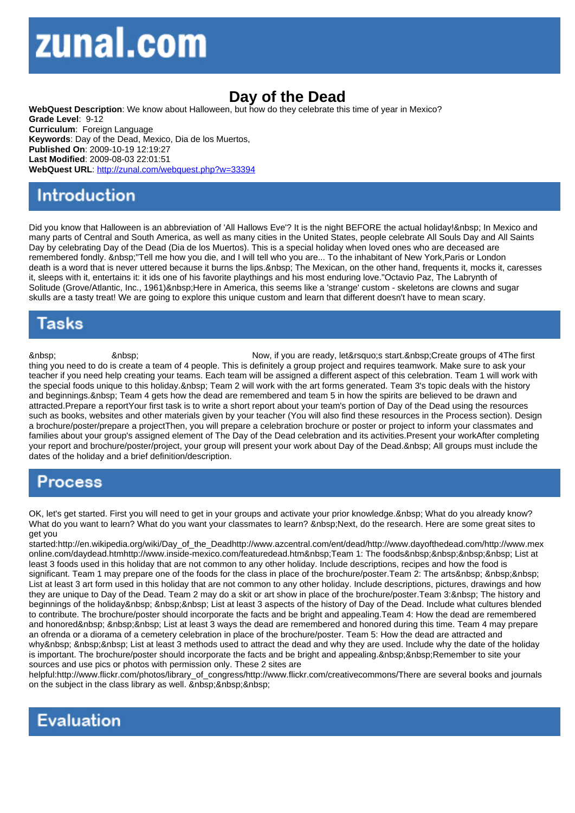## Day of the Dead

WebQuest Description: We know about Halloween, but how do they celebrate this time of year in Mexico? Grade Level: 9-12 Curriculum: Foreign Language Keywords: Day of the Dead, Mexico, Dia de los Muertos, Published On: 2009-10-19 12:19:27 Last Modified: 2009-08-03 22:01:51 WebQuest URL: http://zunal.com/webquest.php?w=33394

Did you know that Halloween is an abbreviation of 'All Hallows Eve'? It is the night BEFORE the actual holiday! & nbsp; In Mexico and many parts of Central and South America, as well as many cities in the United States, people celebrate All Souls Day and All Saints Day by celebrating Day of the Dead (Dia de los Muertos). This is a special holiday when loved ones who are deceased are remembered fondly. "Tell me how you die, and I will tell who you are... To the inhabitant of New York,Paris or London death is a word that is never uttered because it burns the lips. The Mexican, on the other hand, frequents it, mocks it, caresses it, sleeps with it, entertains it: it ids one of his favorite playthings and his most enduring love."Octavio Paz, The Labrynth of Solitude (Grove/Atlantic, Inc., 1961) Here in America, this seems like a 'strange' custom - skeletons are clowns and sugar skulls are a tasty treat! We are going to explore this unique custom and learn that different doesn't have to mean scary.

 8nbsp; 3nbsp; 3nbsp; 3nbsp; 3nbsp; Now, if you are ready, let's start. Create groups of 4The first thing you need to do is create a team of 4 people. This is definitely a group project and requires teamwork. Make sure to ask your teacher if you need help creating your teams. Each team will be assigned a different aspect of this celebration. Team 1 will work with the special foods unique to this holiday. Team 2 will work with the art forms generated. Team 3's topic deals with the history and beginnings. Team 4 gets how the dead are remembered and team 5 in how the spirits are believed to be drawn and attracted.Prepare a reportYour first task is to write a short report about your team's portion of Day of the Dead using the resources such as books, websites and other materials given by your teacher (You will also find these resources in the Process section). Design a brochure/poster/prepare a projectThen, you will prepare a celebration brochure or poster or project to inform your classmates and families about your group's assigned element of The Day of the Dead celebration and its activities.Present your workAfter completing your report and brochure/poster/project, your group will present your work about Day of the Dead. All groups must include the dates of the holiday and a brief definition/description.

OK, let's get started. First you will need to get in your groups and activate your prior knowledge. What do you already know? What do you want to learn? What do you want your classmates to learn? Next, do the research. Here are some great sites to get you

started:http://en.wikipedia.org/wiki/Day\_of\_the\_Deadhttp://www.azcentral.com/ent/dead/http://www.dayofthedead.com/http://www.mex online.com/daydead.htmhttp://www.inside-mexico.com/featuredead.htm Team 1: The foods List at least 3 foods used in this holiday that are not common to any other holiday. Include descriptions, recipes and how the food is significant. Team 1 may prepare one of the foods for the class in place of the brochure/poster. Team 2: The arts List at least 3 art form used in this holiday that are not common to any other holiday. Include descriptions, pictures, drawings and how they are unique to Day of the Dead. Team 2 may do a skit or art show in place of the brochure/poster. Team 3: The history and beginnings of the holiday&nbsp: &nbsp:&nbsp: List at least 3 aspects of the history of Day of the Dead. Include what cultures blended to contribute. The brochure/poster should incorporate the facts and be bright and appealing.Team 4: How the dead are remembered and honored&nbsp: &nbsp: List at least 3 ways the dead are remembered and honored during this time. Team 4 may prepare an ofrenda or a diorama of a cemetery celebration in place of the brochure/poster. Team 5: How the dead are attracted and why & nbsp; & nbsp; & nbsp; List at least 3 methods used to attract the dead and why they are used. Include why the date of the holiday is important. The brochure/poster should incorporate the facts and be bright and appealing. Remember to site your sources and use pics or photos with permission only. These 2 sites are

helpful:http://www.flickr.com/photos/library\_of\_congress/http://www.flickr.com/creativecommons/There are several books and journals on the subject in the class library as well.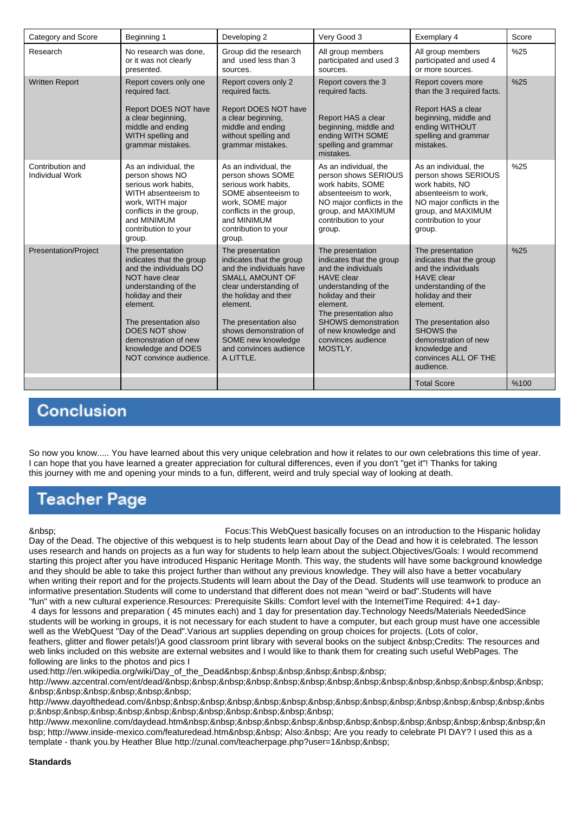| Category and Score                         | Beginning 1                                                                                                                                                                                                                                                         | Developing 2                                                                                                                                                                                                                                                                      | Very Good 3                                                                                                                                                                                                                                                | Exemplary 4                                                                                                                                                                                                                                                           | Score |
|--------------------------------------------|---------------------------------------------------------------------------------------------------------------------------------------------------------------------------------------------------------------------------------------------------------------------|-----------------------------------------------------------------------------------------------------------------------------------------------------------------------------------------------------------------------------------------------------------------------------------|------------------------------------------------------------------------------------------------------------------------------------------------------------------------------------------------------------------------------------------------------------|-----------------------------------------------------------------------------------------------------------------------------------------------------------------------------------------------------------------------------------------------------------------------|-------|
| Research                                   | No research was done,<br>or it was not clearly<br>presented.                                                                                                                                                                                                        | Group did the research<br>and used less than 3<br>sources.                                                                                                                                                                                                                        | All group members<br>participated and used 3<br>sources.                                                                                                                                                                                                   | All group members<br>participated and used 4<br>or more sources.                                                                                                                                                                                                      | %25   |
| <b>Written Report</b>                      | Report covers only one<br>required fact.<br>Report DOES NOT have<br>a clear beginning,<br>middle and ending<br>WITH spelling and<br>grammar mistakes.                                                                                                               | Report covers only 2<br>required facts.<br>Report DOES NOT have<br>a clear beginning,<br>middle and ending<br>without spelling and<br>grammar mistakes.                                                                                                                           | Report covers the 3<br>required facts.<br>Report HAS a clear<br>beginning, middle and<br>ending WITH SOME<br>spelling and grammar<br>mistakes.                                                                                                             | Report covers more<br>than the 3 required facts.<br>Report HAS a clear<br>beginning, middle and<br>ending WITHOUT<br>spelling and grammar<br>mistakes.                                                                                                                | %25   |
| Contribution and<br><b>Individual Work</b> | As an individual, the<br>person shows NO<br>serious work habits,<br>WITH absenteeism to<br>work, WITH major<br>conflicts in the group,<br>and MINIMUM<br>contribution to your<br>group.                                                                             | As an individual, the<br>person shows SOME<br>serious work habits.<br>SOME absenteeism to<br>work, SOME major<br>conflicts in the group,<br>and MINIMUM<br>contribution to your<br>group.                                                                                         | As an individual, the<br>person shows SERIOUS<br>work habits, SOME<br>absenteeism to work.<br>NO major conflicts in the<br>group, and MAXIMUM<br>contribution to your<br>group.                                                                            | As an individual, the<br>person shows SERIOUS<br>work habits, NO<br>absenteeism to work.<br>NO major conflicts in the<br>group, and MAXIMUM<br>contribution to your<br>group.                                                                                         | %25   |
| <b>Presentation/Project</b>                | The presentation<br>indicates that the group<br>and the individuals DO<br>NOT have clear<br>understanding of the<br>holiday and their<br>element.<br>The presentation also<br>DOES NOT show<br>demonstration of new<br>knowledge and DOES<br>NOT convince audience. | The presentation<br>indicates that the group<br>and the individuals have<br><b>SMALL AMOUNT OF</b><br>clear understanding of<br>the holiday and their<br>element.<br>The presentation also<br>shows demonstration of<br>SOME new knowledge<br>and convinces audience<br>A LITTLE. | The presentation<br>indicates that the group<br>and the individuals<br><b>HAVE</b> clear<br>understanding of the<br>holiday and their<br>element.<br>The presentation also<br>SHOWS demonstration<br>of new knowledge and<br>convinces audience<br>MOSTLY. | The presentation<br>indicates that the group<br>and the individuals<br><b>HAVE</b> clear<br>understanding of the<br>holiday and their<br>element.<br>The presentation also<br>SHOWS the<br>demonstration of new<br>knowledge and<br>convinces ALL OF THE<br>audience. | %25   |
|                                            |                                                                                                                                                                                                                                                                     |                                                                                                                                                                                                                                                                                   |                                                                                                                                                                                                                                                            | <b>Total Score</b>                                                                                                                                                                                                                                                    | %100  |

## **Conclusion**

So now you know..... You have learned about this very unique celebration and how it relates to our own celebrations this time of year. I can hope that you have learned a greater appreciation for cultural differences, even if you don't "get it"! Thanks for taking this journey with me and opening your minds to a fun, different, weird and truly special way of looking at death.

## Teacher Page

 Focus:This WebQuest basically focuses on an introduction to the Hispanic holiday Day of the Dead. The objective of this webquest is to help students learn about Day of the Dead and how it is celebrated. The lesson uses research and hands on projects as a fun way for students to help learn about the subject.Objectives/Goals: I would recommend starting this project after you have introduced Hispanic Heritage Month. This way, the students will have some background knowledge and they should be able to take this project further than without any previous knowledge. They will also have a better vocabulary when writing their report and for the projects.Students will learn about the Day of the Dead. Students will use teamwork to produce an informative presentation.Students will come to understand that different does not mean "weird or bad".Students will have "fun" with a new cultural experience.Resources: Prerequisite Skills: Comfort level with the InternetTime Required: 4+1 day-

 4 days for lessons and preparation ( 45 minutes each) and 1 day for presentation day.Technology Needs/Materials NeededSince students will be working in groups, it is not necessary for each student to have a computer, but each group must have one accessible well as the WebQuest "Day of the Dead". Various art supplies depending on group choices for projects. (Lots of color,

feathers, glitter and flower petals!)A good classroom print library with several books on the subject &nbsp:Credits: The resources and web links included on this website are external websites and I would like to thank them for creating such useful WebPages. The following are links to the photos and pics I

used:http://en.wikipedia.org/wiki/Day\_of\_the\_Dead&nbsp:&nbsp:&nbsp:&nbsp:&nbsp:&nbsp:

http://www.azcentral.com/ent/dead/ 

http://www.dayofthedead.com/ &n p;

http://www.mexonline.com/daydead.htm &n bsp; http://www.inside-mexico.com/featuredead.htm Also: Are you ready to celebrate PI DAY? I used this as a template - thank you.by Heather Blue http://zunal.com/teacherpage.php?user=1